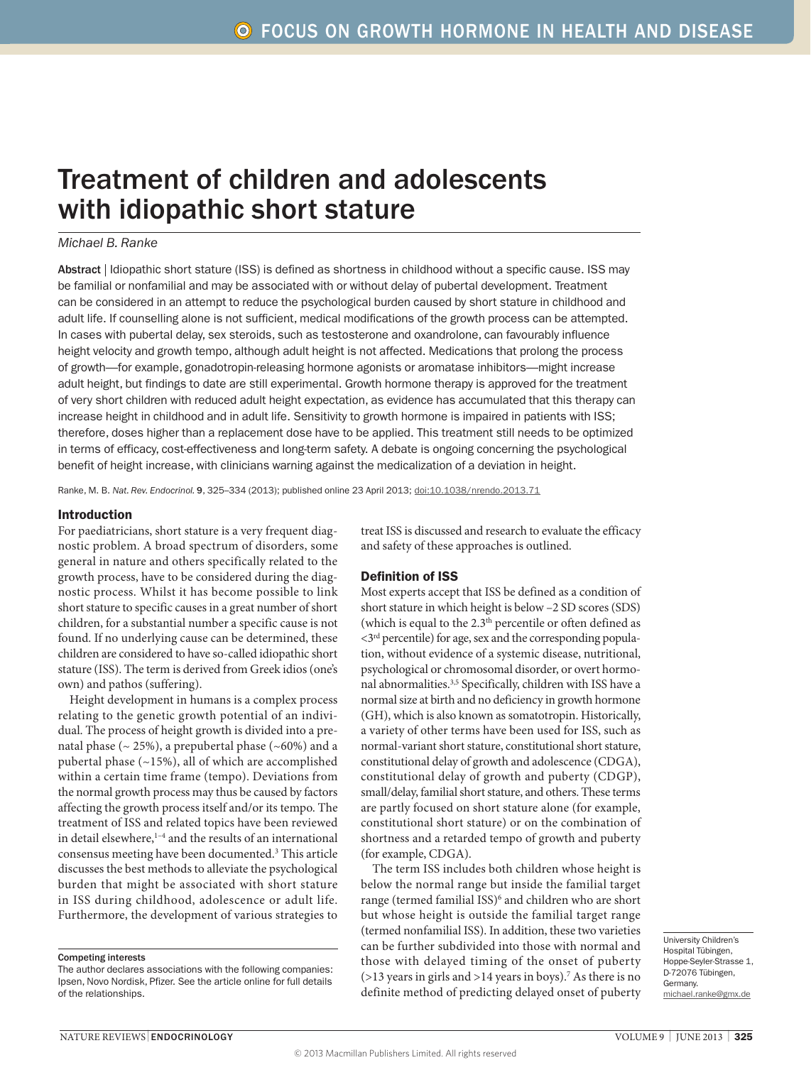# Treatment of children and adolescents with idiopathic short stature

#### *Michael B. Ranke*

Abstract | Idiopathic short stature (ISS) is defined as shortness in childhood without a specific cause. ISS may be familial or nonfamilial and may be associated with or without delay of pubertal development. Treatment can be considered in an attempt to reduce the psychological burden caused by short stature in childhood and adult life. If counselling alone is not sufficient, medical modifications of the growth process can be attempted. In cases with pubertal delay, sex steroids, such as testosterone and oxandrolone, can favourably influence height velocity and growth tempo, although adult height is not affected. Medications that prolong the process of growth—for example, gonadotropin-releasing hormone agonists or aromatase inhibitors—might increase adult height, but findings to date are still experimental. Growth hormone therapy is approved for the treatment of very short children with reduced adult height expectation, as evidence has accumulated that this therapy can increase height in childhood and in adult life. Sensitivity to growth hormone is impaired in patients with ISS; therefore, doses higher than a replacement dose have to be applied. This treatment still needs to be optimized in terms of efficacy, cost-effectiveness and long-term safety. A debate is ongoing concerning the psychological benefit of height increase, with clinicians warning against the medicalization of a deviation in height.

Ranke, M. B. *Nat. Rev. Endocrinol.* 9, 325–334 (2013); published online 23 April 2013; [doi:10.1038/nrendo.2013.71](http://www.nature.com/doifinder/10.1038/nrendo.2013.71)

#### Introduction

For paediatricians, short stature is a very frequent diagnostic problem. A broad spectrum of disorders, some general in nature and others specifically related to the growth process, have to be considered during the diagnostic process. Whilst it has become possible to link short stature to specific causes in a great number of short children, for a substantial number a specific cause is not found. If no underlying cause can be determined, these children are considered to have so-called idiopathic short stature (ISS). The term is derived from Greek idios (one's own) and pathos (suffering).

Height development in humans is a complex process relating to the genetic growth potential of an individual. The process of height growth is divided into a prenatal phase ( $\sim$  25%), a prepubertal phase ( $\sim$  60%) and a pubertal phase  $(-15\%)$ , all of which are accomplished within a certain time frame (tempo). Deviations from the normal growth process may thus be caused by factors affecting the growth process itself and/or its tempo. The treatment of ISS and related topics have been reviewed in detail elsewhere,<sup>1-4</sup> and the results of an international consensus meeting have been documented.3 This article discusses the best methods to alleviate the psychological burden that might be associated with short stature in ISS during childhood, adolescence or adult life. Furthermore, the development of various strategies to

Competing interests

treat ISS is discussed and research to evaluate the efficacy and safety of these approaches is outlined.

#### Definition of ISS

Most experts accept that ISS be defined as a condition of short stature in which height is below –2 SD scores (SDS) (which is equal to the 2.3th percentile or often defined as  $\langle 3^{rd}$  percentile) for age, sex and the corresponding population, without evidence of a systemic disease, nutritional, psychological or chromosomal disorder, or overt hormonal abnormalities.3,5 Specifically, children with ISS have a normal size at birth and no deficiency in growth hormone (GH), which is also known as somatotropin. Historically, a variety of other terms have been used for ISS, such as normal-variant short stature, constitutional short stature, constitutional delay of growth and adolescence (CDGA), constitutional delay of growth and puberty (CDGP), small/delay, familial short stature, and others. These terms are partly focused on short stature alone (for example, constitutional short stature) or on the combination of shortness and a retarded tempo of growth and puberty (for example, CDGA).

The term ISS includes both children whose height is below the normal range but inside the familial target range (termed familial ISS)<sup>6</sup> and children who are short but whose height is outside the familial target range (termed nonfamilial ISS). In addition, these two varieties can be further subdivided into those with normal and those with delayed timing of the onset of puberty  $($ >13 years in girls and >14 years in boys).<sup>7</sup> As there is no definite method of predicting delayed onset of puberty

University Children's Hospital Tübingen, Hoppe-Seyler-Strasse 1, D-72076 Tübingen, Germany. [michael.ranke@gmx.de](mailto:michael.ranke@gmx.de)

The author declares associations with the following companies: Ipsen, Novo Nordisk, Pfizer. See the article online for full details of the relationships.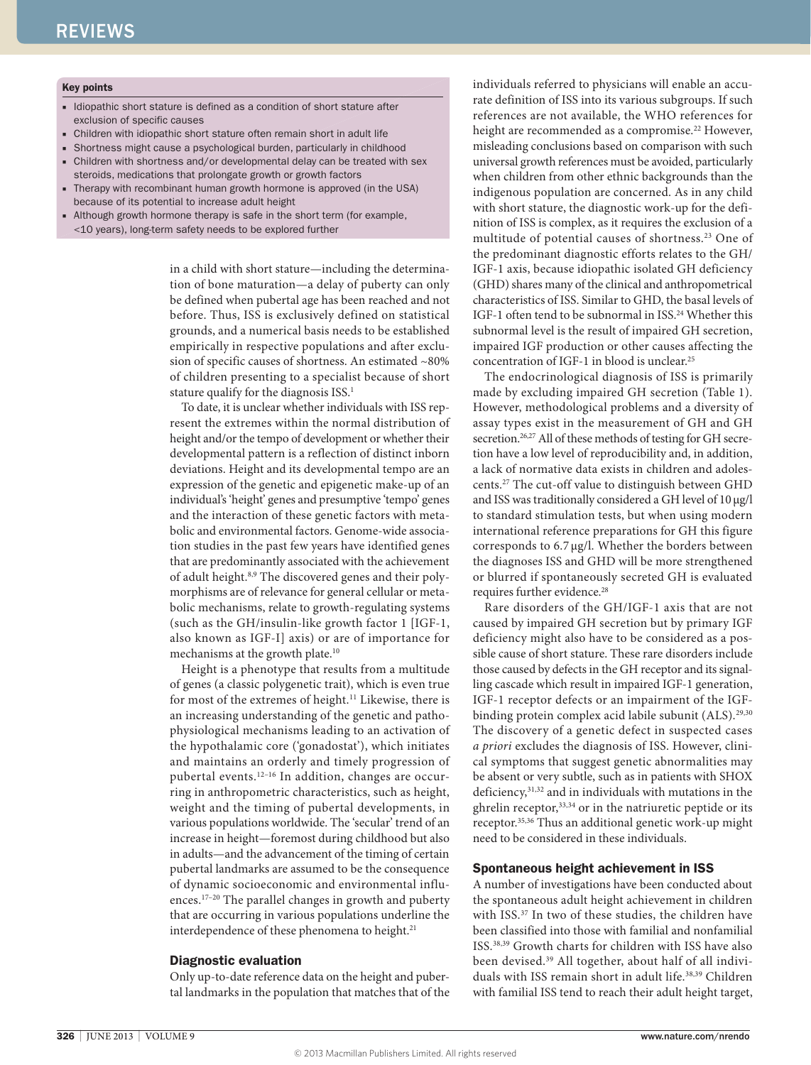#### Key points

- Idiopathic short stature is defined as a condition of short stature after exclusion of specific causes
- Children with idiopathic short stature often remain short in adult life
- Shortness might cause a psychological burden, particularly in childhood
- Children with shortness and/or developmental delay can be treated with sex steroids, medications that prolongate growth or growth factors
- Therapy with recombinant human growth hormone is approved (in the USA) because of its potential to increase adult height
- Although growth hormone therapy is safe in the short term (for example,
- <10 years), long-term safety needs to be explored further

in a child with short stature—including the determination of bone maturation—a delay of puberty can only be defined when pubertal age has been reached and not before. Thus, ISS is exclusively defined on statistical grounds, and a numerical basis needs to be established empirically in respective populations and after exclusion of specific causes of shortness. An estimated ~80% of children presenting to a specialist because of short stature qualify for the diagnosis ISS.<sup>1</sup>

To date, it is unclear whether individuals with ISS represent the extremes within the normal distribution of height and/or the tempo of development or whether their developmental pattern is a reflection of distinct inborn deviations. Height and its developmental tempo are an expression of the genetic and epigenetic make-up of an individual's 'height' genes and presumptive 'tempo' genes and the interaction of these genetic factors with metabolic and environmental factors. Genome-wide association studies in the past few years have identified genes that are predominantly associated with the achievement of adult height.<sup>8,9</sup> The discovered genes and their polymorphisms are of relevance for general cellular or metabolic mechanisms, relate to growth-regulating systems (such as the GH/insulin-like growth factor 1 [IGF-1, also known as IGF-I] axis) or are of importance for mechanisms at the growth plate.<sup>10</sup>

Height is a phenotype that results from a multitude of genes (a classic polygenetic trait), which is even true for most of the extremes of height.<sup>11</sup> Likewise, there is an increasing understanding of the genetic and pathophysiological mechanisms leading to an activation of the hypothalamic core ('gonadostat'), which initiates and maintains an orderly and timely progression of pubertal events.12–16 In addition, changes are occurring in anthropometric characteristics, such as height, weight and the timing of pubertal developments, in various populations worldwide. The 'secular' trend of an increase in height—foremost during childhood but also in adults—and the advancement of the timing of certain pubertal landmarks are assumed to be the consequence of dynamic socioeconomic and environmental influences.17–20 The parallel changes in growth and puberty that are occurring in various populations underline the interdependence of these phenomena to height.<sup>21</sup>

### Diagnostic evaluation

Only up-to-date reference data on the height and pubertal landmarks in the population that matches that of the individuals referred to physicians will enable an accurate definition of ISS into its various subgroups. If such references are not available, the WHO references for height are recommended as a compromise.<sup>22</sup> However, misleading conclusions based on comparison with such universal growth references must be avoided, particularly when children from other ethnic backgrounds than the indigenous population are concerned. As in any child with short stature, the diagnostic work-up for the definition of ISS is complex, as it requires the exclusion of a multitude of potential causes of shortness.23 One of the predominant diagnostic efforts relates to the GH/ IGF-1 axis, because idiopathic isolated GH deficiency (GHD) shares many of the clinical and anthropometrical characteristics of ISS. Similar to GHD, the basal levels of IGF-1 often tend to be subnormal in ISS.<sup>24</sup> Whether this subnormal level is the result of impaired GH secretion, impaired IGF production or other causes affecting the concentration of IGF-1 in blood is unclear.25

The endocrinological diagnosis of ISS is primarily made by excluding impaired GH secretion (Table 1). However, methodological problems and a diversity of assay types exist in the measurement of GH and GH secretion.<sup>26,27</sup> All of these methods of testing for GH secretion have a low level of reproducibility and, in addition, a lack of normative data exists in children and adolescents.27 The cut-off value to distinguish between GHD and ISS was traditionally considered a GH level of 10μg/l to standard stimulation tests, but when using modern international reference preparations for GH this figure corresponds to 6.7 μg/l. Whether the borders between the diagnoses ISS and GHD will be more strengthened or blurred if spontaneously secreted GH is evaluated requires further evidence.<sup>28</sup>

Rare disorders of the GH/IGF-1 axis that are not caused by impaired GH secretion but by primary IGF deficiency might also have to be considered as a possible cause of short stature. These rare disorders include those caused by defects in the GH receptor and its signalling cascade which result in impaired IGF-1 generation, IGF-1 receptor defects or an impairment of the IGFbinding protein complex acid labile subunit (ALS).<sup>29,30</sup> The discovery of a genetic defect in suspected cases *a priori* excludes the diagnosis of ISS. However, clinical symptoms that suggest genetic abnormalities may be absent or very subtle, such as in patients with SHOX deficiency,31,32 and in individuals with mutations in the ghrelin receptor,  $33,34$  or in the natriuretic peptide or its receptor.35,36 Thus an additional genetic work-up might need to be considered in these individuals.

#### Spontaneous height achievement in ISS

A number of investigations have been conducted about the spontaneous adult height achievement in children with ISS.<sup>37</sup> In two of these studies, the children have been classified into those with familial and nonfamilial ISS.38,39 Growth charts for children with ISS have also been devised.39 All together, about half of all individuals with ISS remain short in adult life.<sup>38,39</sup> Children with familial ISS tend to reach their adult height target,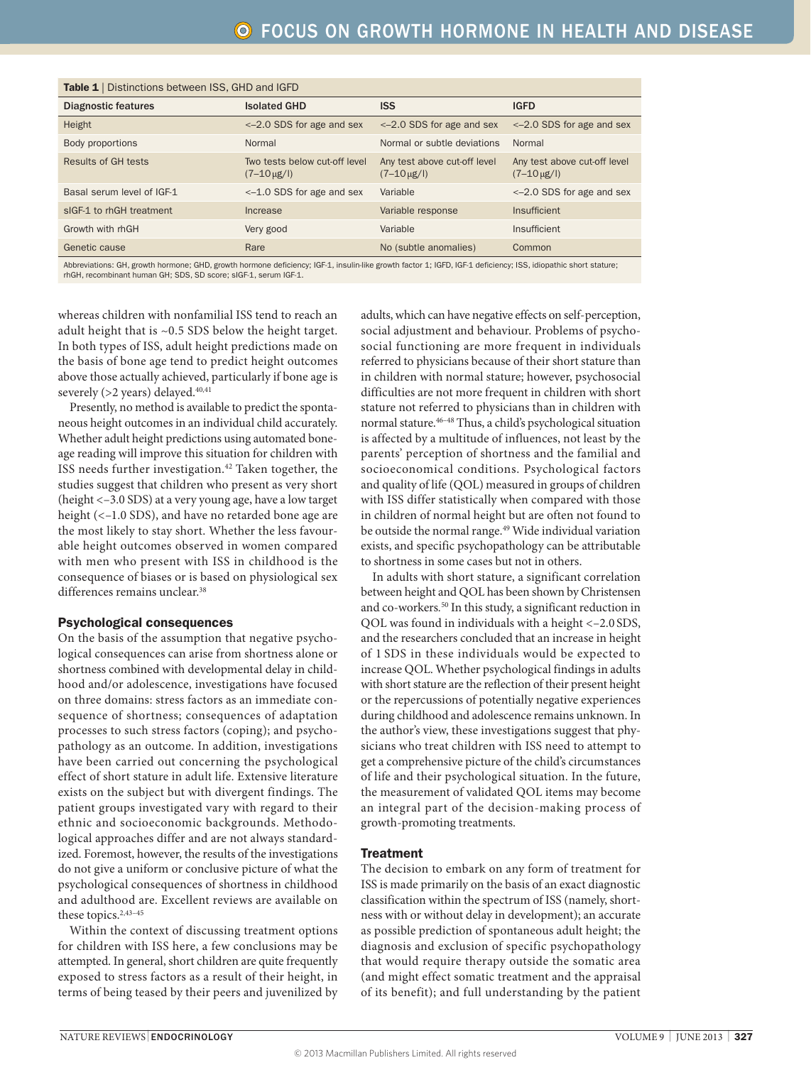| <b>Table 1</b> Distinctions between ISS, GHD and IGFD |                                                     |                                                    |                                                    |  |  |  |  |  |  |  |
|-------------------------------------------------------|-----------------------------------------------------|----------------------------------------------------|----------------------------------------------------|--|--|--|--|--|--|--|
| <b>Diagnostic features</b>                            | <b>Isolated GHD</b>                                 | <b>ISS</b>                                         | <b>IGFD</b>                                        |  |  |  |  |  |  |  |
| Height                                                | $\leq -2.0$ SDS for age and sex                     | $\leq$ -2.0 SDS for age and sex                    | $\leq$ -2.0 SDS for age and sex                    |  |  |  |  |  |  |  |
| Body proportions                                      | Normal                                              | Normal or subtle deviations                        | Normal                                             |  |  |  |  |  |  |  |
| Results of GH tests                                   | Two tests below cut-off level<br>$(7-10 \,\mu g/l)$ | Any test above cut-off level<br>$(7-10 \,\mu g/l)$ | Any test above cut-off level<br>$(7-10 \,\mu g/l)$ |  |  |  |  |  |  |  |
| Basal serum level of IGF-1                            | <-1.0 SDS for age and sex                           | Variable                                           | <-2.0 SDS for age and sex                          |  |  |  |  |  |  |  |
| sIGF-1 to rhGH treatment                              | Increase                                            | Variable response                                  | Insufficient                                       |  |  |  |  |  |  |  |
| Growth with rhGH                                      | Very good                                           | Variable                                           | Insufficient                                       |  |  |  |  |  |  |  |
| Genetic cause                                         | Rare                                                | No (subtle anomalies)                              | Common                                             |  |  |  |  |  |  |  |

Abbreviations: GH, growth hormone; GHD, growth hormone deficiency; IGF-1, insulin-like growth factor 1; IGFD, IGF-1 deficiency; ISS, idiopathic short stature;<br>rhGH, recombinant human GH; SDS, SD score; sIGF-1, serum IGF-1.

whereas children with nonfamilial ISS tend to reach an adult height that is  $\sim$  0.5 SDS below the height target. In both types of ISS, adult height predictions made on the basis of bone age tend to predict height outcomes above those actually achieved, particularly if bone age is severely (>2 years) delayed.<sup>40,41</sup>

Presently, no method is available to predict the spontaneous height outcomes in an individual child accurately. Whether adult height predictions using automated boneage reading will improve this situation for children with ISS needs further investigation.<sup>42</sup> Taken together, the studies suggest that children who present as very short (height <–3.0 SDS) at a very young age, have a low target height (<–1.0 SDS), and have no retarded bone age are the most likely to stay short. Whether the less favourable height outcomes observed in women compared with men who present with ISS in childhood is the consequence of biases or is based on physiological sex differences remains unclear.<sup>38</sup>

### Psychological consequences

On the basis of the assumption that negative psychological consequences can arise from shortness alone or shortness combined with developmental delay in childhood and/or adolescence, investigations have focused on three domains: stress factors as an immediate consequence of shortness; consequences of adaptation processes to such stress factors (coping); and psychopathology as an outcome. In addition, investigations have been carried out concerning the psychological effect of short stature in adult life. Extensive literature exists on the subject but with divergent findings. The patient groups investigated vary with regard to their ethnic and socioeconomic backgrounds. Methodological approaches differ and are not always standardized. Foremost, however, the results of the investigations do not give a uniform or conclusive picture of what the psychological consequences of shortness in childhood and adulthood are. Excellent reviews are available on these topics.<sup>2,43-45</sup>

Within the context of discussing treatment options for children with ISS here, a few conclusions may be attempted. In general, short children are quite frequently exposed to stress factors as a result of their height, in terms of being teased by their peers and juvenilized by

adults, which can have negative effects on self-perception, social adjustment and behaviour. Problems of psychosocial functioning are more frequent in individuals referred to physicians because of their short stature than in children with normal stature; however, psychosocial difficulties are not more frequent in children with short stature not referred to physicians than in children with normal stature.46–48 Thus, a child's psychological situation is affected by a multitude of influences, not least by the parents' perception of shortness and the familial and socioeconomical conditions. Psychological factors and quality of life (QOL) measured in groups of children with ISS differ statistically when compared with those in children of normal height but are often not found to be outside the normal range.<sup>49</sup> Wide individual variation exists, and specific psychopathology can be attributable to shortness in some cases but not in others.

In adults with short stature, a significant correlation between height and QOL has been shown by Christensen and co-workers*.* 50 In this study, a significant reduction in QOL was found in individuals with a height <–2.0 SDS, and the researchers concluded that an increase in height of 1 SDS in these individuals would be expected to increase QOL. Whether psychological findings in adults with short stature are the reflection of their present height or the repercussions of potentially negative experiences during childhood and adolescence remains unknown. In the author's view, these investigations suggest that physicians who treat children with ISS need to attempt to get a comprehensive picture of the child's circumstances of life and their psychological situation. In the future, the measurement of validated QOL items may become an integral part of the decision-making process of growth-promoting treatments.

### **Treatment**

The decision to embark on any form of treatment for ISS is made primarily on the basis of an exact diagnostic classification within the spectrum of ISS (namely, shortness with or without delay in development); an accurate as possible prediction of spontaneous adult height; the diagnosis and exclusion of specific psychopathology that would require therapy outside the somatic area (and might effect somatic treatment and the appraisal of its benefit); and full understanding by the patient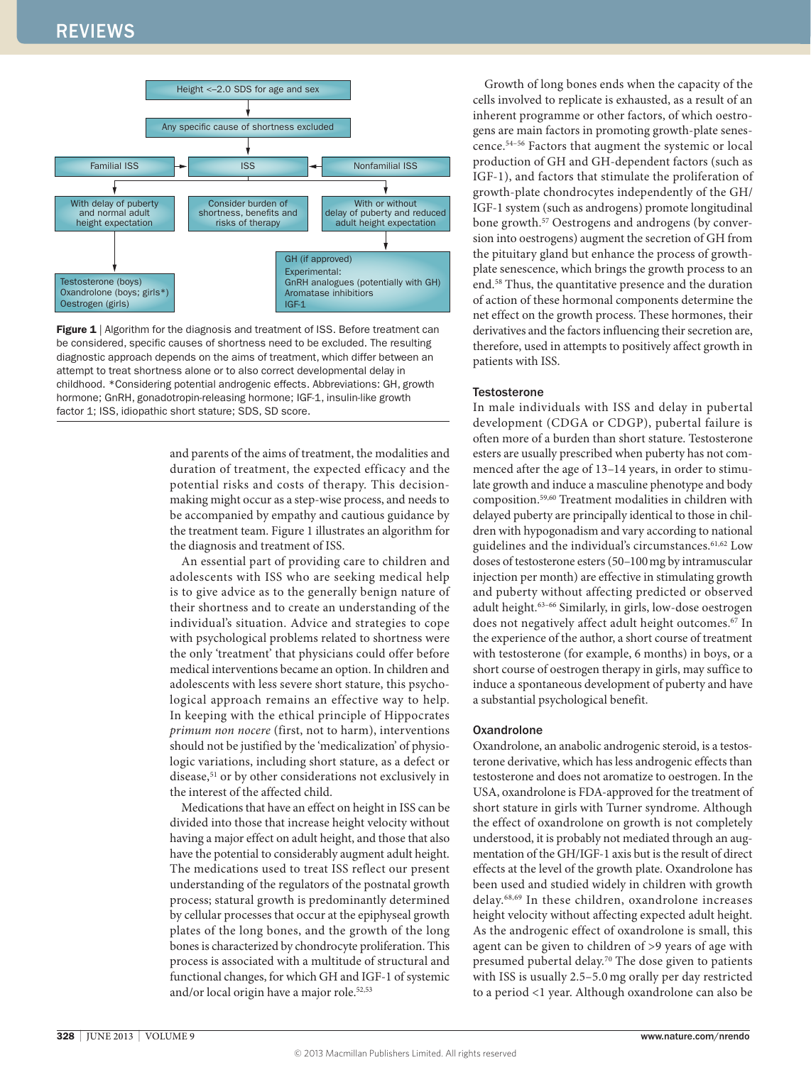

Figure 1 | Algorithm for the diagnosis and treatment of ISS. Before treatment can be considered, specific causes of shortness need to be excluded. The resulting diagnostic approach depends on the aims of treatment, which differ between an attempt to treat shortness alone or to also correct developmental delay in childhood. \*Considering potential androgenic effects. Abbreviations: GH, growth hormone; GnRH, gonadotropin-releasing hormone; IGF-1, insulin-like growth factor 1; ISS, idiopathic short stature; SDS, SD score.

and parents of the aims of treatment, the modalities and duration of treatment, the expected efficacy and the potential risks and costs of therapy. This decisionmaking might occur as a step-wise process, and needs to be accompanied by empathy and cautious guidance by the treatment team. Figure 1 illustrates an algorithm for the diagnosis and treatment of ISS.

An essential part of providing care to children and adolescents with ISS who are seeking medical help is to give advice as to the generally benign nature of their shortness and to create an understanding of the individual's situation. Advice and strategies to cope with psychological problems related to shortness were the only 'treatment' that physicians could offer before medical interventions became an option. In children and adolescents with less severe short stature, this psychological approach remains an effective way to help. In keeping with the ethical principle of Hippocrates *primum non nocere* (first, not to harm), interventions should not be justified by the 'medicalization' of physiologic variations, including short stature, as a defect or disease,<sup>51</sup> or by other considerations not exclusively in the interest of the affected child.

Medications that have an effect on height in ISS can be divided into those that increase height velocity without having a major effect on adult height, and those that also have the potential to considerably augment adult height. The medications used to treat ISS reflect our present understanding of the regulators of the postnatal growth process; statural growth is predominantly determined by cellular processes that occur at the epiphyseal growth plates of the long bones, and the growth of the long bones is characterized by chondrocyte proliferation. This process is associated with a multitude of structural and functional changes, for which GH and IGF-1 of systemic and/or local origin have a major role.<sup>52,53</sup>

Growth of long bones ends when the capacity of the cells involved to replicate is exhausted, as a result of an inherent programme or other factors, of which oestrogens are main factors in promoting growth-plate senescence.54–56 Factors that augment the systemic or local production of GH and GH-dependent factors (such as IGF-1), and factors that stimulate the proliferation of growth-plate chondrocytes independently of the GH/ IGF-1 system (such as androgens) promote longitudinal bone growth.57 Oestrogens and androgens (by conversion into oestrogens) augment the secretion of GH from the pituitary gland but enhance the process of growthplate senescence, which brings the growth process to an end.58 Thus, the quantitative presence and the duration of action of these hormonal components determine the net effect on the growth process. These hormones, their derivatives and the factors influencing their secretion are, therefore, used in attempts to positively affect growth in patients with ISS.

#### **Testosterone**

In male individuals with ISS and delay in pubertal development (CDGA or CDGP), pubertal failure is often more of a burden than short stature. Testosterone esters are usually prescribed when puberty has not commenced after the age of 13–14 years, in order to stimulate growth and induce a masculine phenotype and body composition.59,60 Treatment modalities in children with delayed puberty are principally identical to those in children with hypogonadism and vary according to national guidelines and the individual's circumstances.<sup>61,62</sup> Low doses of testosterone esters (50–100mg by intramuscular injection per month) are effective in stimulating growth and puberty without affecting predicted or observed adult height.63–66 Similarly, in girls, low-dose oestrogen does not negatively affect adult height outcomes.<sup>67</sup> In the experience of the author, a short course of treatment with testosterone (for example, 6 months) in boys, or a short course of oestrogen therapy in girls, may suffice to induce a spontaneous development of puberty and have a substantial psychological benefit.

#### **Oxandrolone**

Oxandrolone, an anabolic androgenic steroid, is a testosterone derivative, which has less androgenic effects than testosterone and does not aromatize to oestrogen. In the USA, oxandrolone is FDA-approved for the treatment of short stature in girls with Turner syndrome. Although the effect of oxandrolone on growth is not completely understood, it is probably not mediated through an augmentation of the GH/IGF-1 axis but is the result of direct effects at the level of the growth plate. Oxandrolone has been used and studied widely in children with growth delay.68,69 In these children, oxandrolone increases height velocity without affecting expected adult height. As the androgenic effect of oxandrolone is small, this agent can be given to children of >9 years of age with presumed pubertal delay.<sup>70</sup> The dose given to patients with ISS is usually 2.5–5.0 mg orally per day restricted to a period <1 year. Although oxandrolone can also be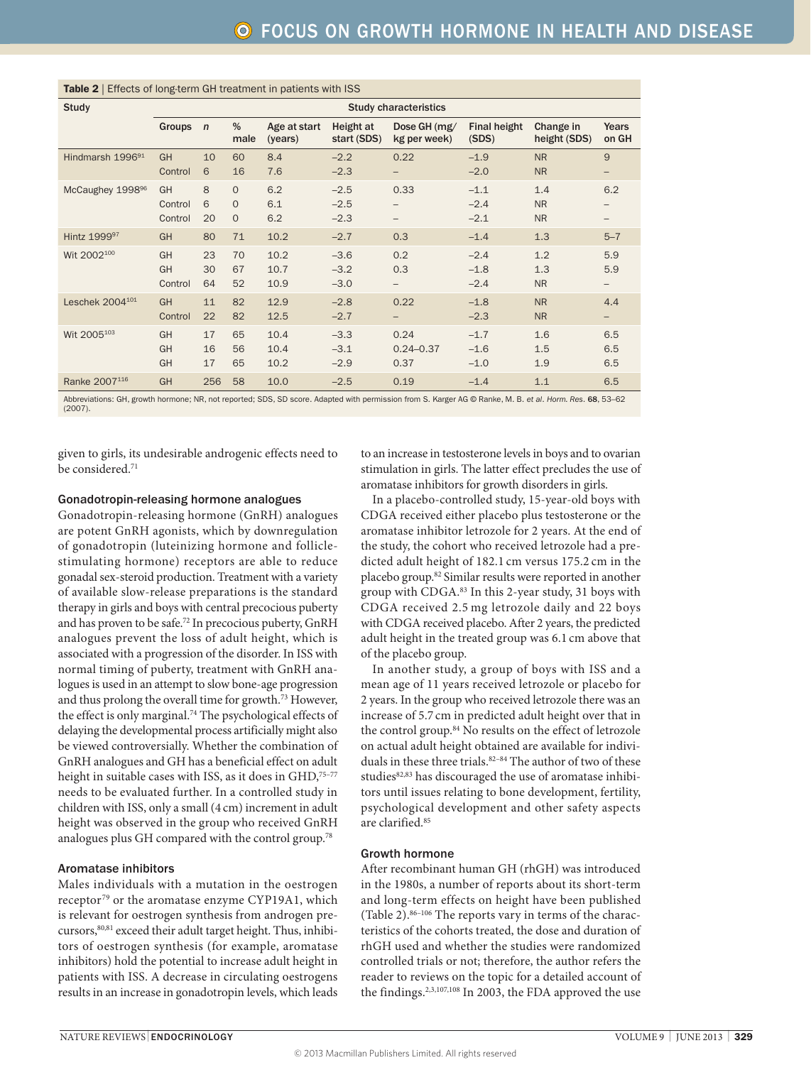| Study                        | <b>Study characteristics</b> |                |                                          |                         |                            |                                |                              |                               |                               |
|------------------------------|------------------------------|----------------|------------------------------------------|-------------------------|----------------------------|--------------------------------|------------------------------|-------------------------------|-------------------------------|
|                              | Groups                       | $\mathsf{n}$   | %<br>male                                | Age at start<br>(years) | Height at<br>start (SDS)   | Dose GH $(mg)$<br>kg per week) | <b>Final height</b><br>(SDS) | Change in<br>height (SDS)     | Years<br>on GH                |
| Hindmarsh 1996 <sup>91</sup> | GH<br>Control                | 10<br>6        | 60<br>16                                 | 8.4<br>7.6              | $-2.2$<br>$-2.3$           | 0.22<br>-                      | $-1.9$<br>$-2.0$             | <b>NR</b><br><b>NR</b>        | $\overline{9}$<br>-           |
| McCaughey 199896             | GH<br>Control<br>Control     | 8<br>6<br>20   | $\Omega$<br>$\mathbf{O}$<br>$\mathbf{O}$ | 6.2<br>6.1<br>6.2       | $-2.5$<br>$-2.5$<br>$-2.3$ | 0.33<br>$\qquad \qquad -$      | $-1.1$<br>$-2.4$<br>$-2.1$   | 1.4<br><b>NR</b><br><b>NR</b> | 6.2<br>-<br>$\qquad \qquad -$ |
| Hintz 199997                 | GH                           | 80             | 71                                       | 10.2                    | $-2.7$                     | 0.3                            | $-1.4$                       | 1.3                           | $5 - 7$                       |
| Wit 2002100                  | GH<br>GH<br>Control          | 23<br>30<br>64 | 70<br>67<br>52                           | 10.2<br>10.7<br>10.9    | $-3.6$<br>$-3.2$<br>$-3.0$ | 0.2<br>0.3                     | $-2.4$<br>$-1.8$<br>$-2.4$   | 1.2<br>1.3<br><b>NR</b>       | 5.9<br>5.9<br>-               |
| Leschek 2004 <sup>101</sup>  | GH<br>Control                | 11<br>22       | 82<br>82                                 | 12.9<br>12.5            | $-2.8$<br>$-2.7$           | 0.22<br>$\qquad \qquad -$      | $-1.8$<br>$-2.3$             | <b>NR</b><br><b>NR</b>        | 4.4<br>-                      |
| Wit 2005103                  | GH<br>GH<br>GH               | 17<br>16<br>17 | 65<br>56<br>65                           | 10.4<br>10.4<br>10.2    | $-3.3$<br>$-3.1$<br>$-2.9$ | 0.24<br>$0.24 - 0.37$<br>0.37  | $-1.7$<br>$-1.6$<br>$-1.0$   | 1.6<br>1.5<br>1.9             | 6.5<br>6.5<br>6.5             |
| Ranke 2007116                | GH                           | 256            | 58                                       | 10.0                    | $-2.5$                     | 0.19                           | $-1.4$                       | 1.1                           | 6.5                           |
|                              |                              |                |                                          |                         |                            |                                |                              |                               |                               |

#### **Table 2** | Effects of long-term GH treatment in patients with ISS

Abbreviations: GH, growth hormone; NR, not reported; SDS, SD score. Adapted with permission from S. Karger AG © Ranke, M. B. *et al*. *Horm. Res*. 68, 53–62 (2007).

given to girls, its undesirable androgenic effects need to be considered.71

#### Gonadotropin-releasing hormone analogues

Gonadotropin-releasing hormone (GnRH) analogues are potent GnRH agonists, which by downregulation of gonadotropin (luteinizing hormone and folliclestimulating hormone) receptors are able to reduce gonadal sex-steroid production. Treatment with a variety of available slow-release preparations is the standard therapy in girls and boys with central precocious puberty and has proven to be safe.72 In precocious puberty, GnRH analogues prevent the loss of adult height, which is associated with a progression of the disorder. In ISS with normal timing of puberty, treatment with GnRH analogues is used in an attempt to slow bone-age progression and thus prolong the overall time for growth.73 However, the effect is only marginal.<sup>74</sup> The psychological effects of delaying the developmental process artificially might also be viewed controversially. Whether the combination of GnRH analogues and GH has a beneficial effect on adult height in suitable cases with ISS, as it does in GHD,<sup>75-77</sup> needs to be evaluated further. In a controlled study in children with ISS, only a small (4 cm) increment in adult height was observed in the group who received GnRH analogues plus GH compared with the control group.78

#### Aromatase inhibitors

Males individuals with a mutation in the oestrogen receptor<sup>79</sup> or the aromatase enzyme CYP19A1, which is relevant for oestrogen synthesis from androgen precursors,  $80,81$  exceed their adult target height. Thus, inhibitors of oestrogen synthesis (for example, aromatase inhibitors) hold the potential to increase adult height in patients with ISS. A decrease in circulating oestrogens results in an increase in gonadotropin levels, which leads

to an increase in testosterone levels in boys and to ovarian stimulation in girls. The latter effect precludes the use of aromatase inhibitors for growth disorders in girls.

In a placebo-controlled study, 15-year-old boys with CDGA received either placebo plus testosterone or the aromatase inhibitor letrozole for 2 years. At the end of the study, the cohort who received letrozole had a predicted adult height of 182.1 cm versus 175.2 cm in the placebo group.82 Similar results were reported in another group with CDGA.83 In this 2-year study, 31 boys with CDGA received 2.5 mg letrozole daily and 22 boys with CDGA received placebo. After 2 years, the predicted adult height in the treated group was 6.1 cm above that of the placebo group.

In another study, a group of boys with ISS and a mean age of 11 years received letrozole or placebo for 2 years. In the group who received letrozole there was an increase of 5.7 cm in predicted adult height over that in the control group.84 No results on the effect of letrozole on actual adult height obtained are available for individuals in these three trials.<sup>82-84</sup> The author of two of these studies82,83 has discouraged the use of aromatase inhibitors until issues relating to bone development, fertility, psychological development and other safety aspects are clarified.85

### Growth hormone

After recombinant human GH (rhGH) was introduced in the 1980s, a number of reports about its short-term and long-term effects on height have been published (Table 2). $86-106$  The reports vary in terms of the characteristics of the cohorts treated, the dose and duration of rhGH used and whether the studies were randomized controlled trials or not; therefore, the author refers the reader to reviews on the topic for a detailed account of the findings.2,3,107,108 In 2003, the FDA approved the use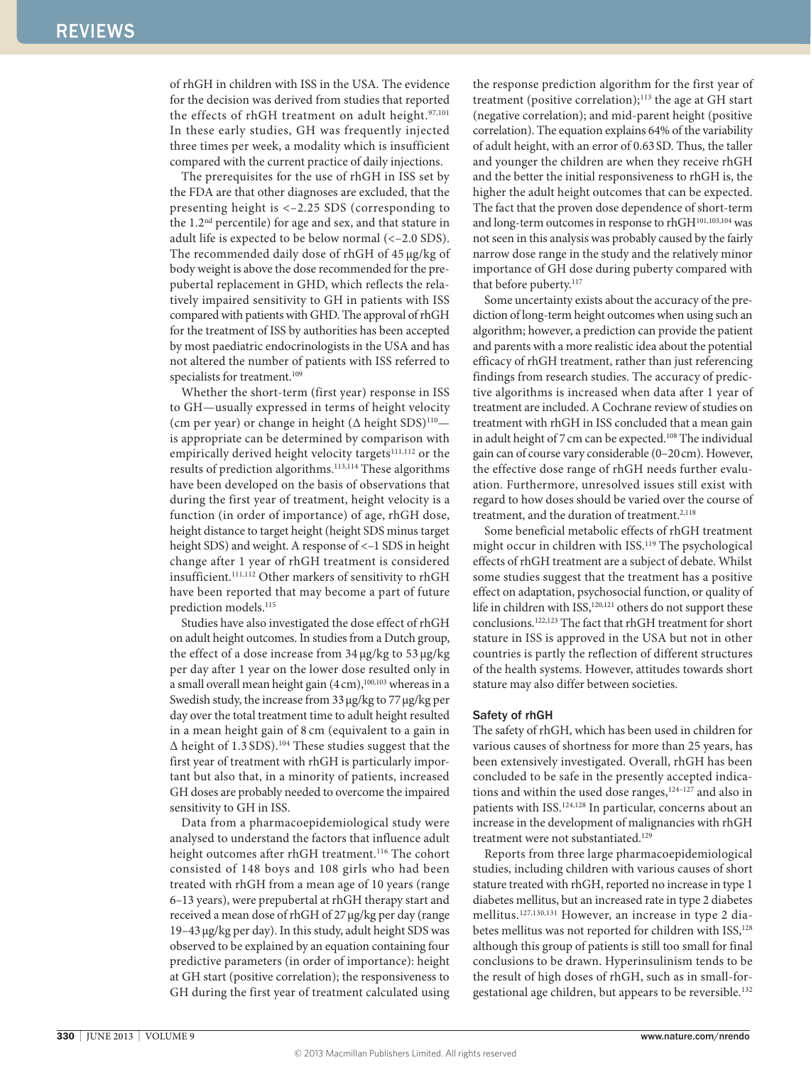of rhGH in children with ISS in the USA. The evidence for the decision was derived from studies that reported the effects of rhGH treatment on adult height. 97,101 In these early studies, GH was frequently injected three times per week, a modality which is insufficient compared with the current practice of daily injections.

The prerequisites for the use of rhGH in ISS set by the FDA are that other diagnoses are excluded, that the presenting height is <–2.25 SDS (corresponding to the 1.2nd percentile) for age and sex, and that stature in adult life is expected to be below normal (<–2.0 SDS). The recommended daily dose of rhGH of 45 μg/kg of body weight is above the dose recommended for the prepubertal replacement in GHD, which reflects the relatively impaired sensitivity to GH in patients with ISS compared with patients with GHD. The approval of rhGH for the treatment of ISS by authorities has been accepted by most paediatric endocrinologists in the USA and has not altered the number of patients with ISS referred to specialists for treatment.<sup>109</sup>

Whether the short-term (first year) response in ISS to GH—usually expressed in terms of height velocity (cm per year) or change in height (Δ height SDS)110 is appropriate can be determined by comparison with empirically derived height velocity targets<sup>111,112</sup> or the results of prediction algorithms.<sup>113,114</sup> These algorithms have been developed on the basis of observations that during the first year of treatment, height velocity is a function (in order of importance) of age, rhGH dose, height distance to target height (height SDS minus target height SDS) and weight. A response of <–1 SDS in height change after 1 year of rhGH treatment is considered insufficient.111,112 Other markers of sensitivity to rhGH have been reported that may become a part of future prediction models.<sup>115</sup>

Studies have also investigated the dose effect of rhGH on adult height outcomes. In studies from a Dutch group, the effect of a dose increase from 34 μg/kg to 53 μg/kg per day after 1 year on the lower dose resulted only in a small overall mean height gain  $(4 \text{ cm})$ ,  $100,103$  whereas in a Swedish study, the increase from 33μg/kg to 77μg/kg per day over the total treatment time to adult height resulted in a mean height gain of 8 cm (equivalent to a gain in Δ height of 1.3 SDS).104 These studies suggest that the first year of treatment with rhGH is particularly important but also that, in a minority of patients, increased GH doses are probably needed to overcome the impaired sensitivity to GH in ISS.

Data from a pharmacoepidemiological study were analysed to understand the factors that influence adult height outcomes after rhGH treatment.<sup>116</sup> The cohort consisted of 148 boys and 108 girls who had been treated with rhGH from a mean age of 10 years (range 6–13 years), were prepubertal at rhGH therapy start and received a mean dose of rhGH of 27μg/kg per day (range 19–43μg/kg per day). In this study, adult height SDS was observed to be explained by an equation containing four predictive parameters (in order of importance): height at GH start (positive correlation); the responsiveness to GH during the first year of treatment calculated using the response prediction algorithm for the first year of treatment (positive correlation);<sup>113</sup> the age at GH start (negative correlation); and mid-parent height (positive correlation). The equation explains 64% of the variability of adult height, with an error of 0.63 SD. Thus, the taller and younger the children are when they receive rhGH and the better the initial responsiveness to rhGH is, the higher the adult height outcomes that can be expected. The fact that the proven dose dependence of short-term and long-term outcomes in response to rhGH101,103,104 was not seen in this analysis was probably caused by the fairly narrow dose range in the study and the relatively minor importance of GH dose during puberty compared with that before puberty.<sup>117</sup>

Some uncertainty exists about the accuracy of the prediction of long-term height outcomes when using such an algorithm; however, a prediction can provide the patient and parents with a more realistic idea about the potential efficacy of rhGH treatment, rather than just referencing findings from research studies. The accuracy of predictive algorithms is increased when data after 1 year of treatment are included. A Cochrane review of studies on treatment with rhGH in ISS concluded that a mean gain in adult height of 7 cm can be expected.<sup>108</sup> The individual gain can of course vary considerable (0–20cm). However, the effective dose range of rhGH needs further evaluation. Furthermore, unresolved issues still exist with regard to how doses should be varied over the course of treatment, and the duration of treatment.<sup>2,118</sup>

Some beneficial metabolic effects of rhGH treatment might occur in children with ISS.<sup>119</sup> The psychological effects of rhGH treatment are a subject of debate. Whilst some studies suggest that the treatment has a positive effect on adaptation, psychosocial function, or quality of life in children with ISS,<sup>120,121</sup> others do not support these conclusions.122,123 The fact that rhGH treatment for short stature in ISS is approved in the USA but not in other countries is partly the reflection of different structures of the health systems. However, attitudes towards short stature may also differ between societies.

#### Safety of rhGH

The safety of rhGH, which has been used in children for various causes of shortness for more than 25 years, has been extensively investigated. Overall, rhGH has been concluded to be safe in the presently accepted indications and within the used dose ranges,  $^{124-127}$  and also in patients with ISS.124,128 In particular, concerns about an increase in the development of malignancies with rhGH treatment were not substantiated.<sup>129</sup>

Reports from three large pharmacoepidemiological studies, including children with various causes of short stature treated with rhGH, reported no increase in type 1 diabetes mellitus, but an increased rate in type 2 diabetes mellitus.127,130,131 However, an increase in type 2 diabetes mellitus was not reported for children with ISS,<sup>128</sup> although this group of patients is still too small for final conclusions to be drawn. Hyperinsulinism tends to be the result of high doses of rhGH, such as in small-forgestational age children, but appears to be reversible.<sup>132</sup>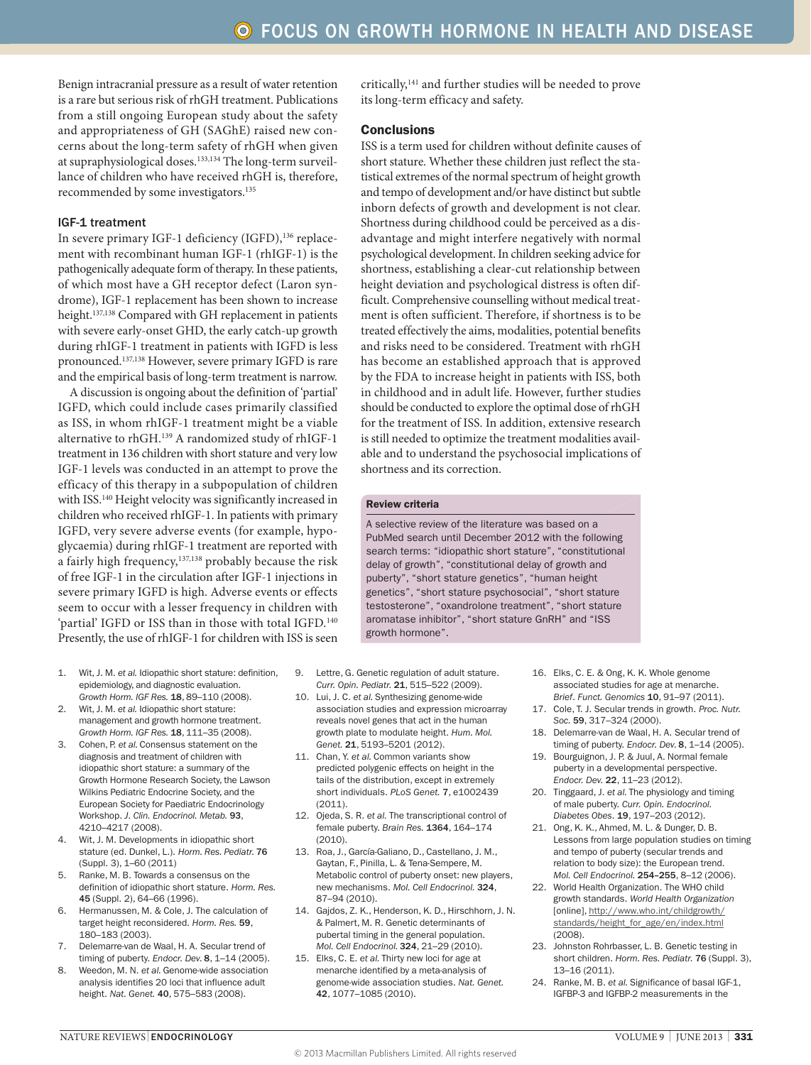Benign intracranial pressure as a result of water retention is a rare but serious risk of rhGH treatment. Publications from a still ongoing European study about the safety and appropriateness of GH (SAGhE) raised new concerns about the long-term safety of rhGH when given at supraphysiological doses.133,134 The long-term surveillance of children who have received rhGH is, therefore, recommended by some investigators.135

#### IGF-1 treatment

In severe primary IGF-1 deficiency (IGFD),<sup>136</sup> replacement with recombinant human IGF-1 (rhIGF-1) is the pathogenically adequate form of therapy. In these patients, of which most have a GH receptor defect (Laron syndrome), IGF-1 replacement has been shown to increase height.137,138 Compared with GH replacement in patients with severe early-onset GHD, the early catch-up growth during rhIGF-1 treatment in patients with IGFD is less pronounced.137,138 However, severe primary IGFD is rare and the empirical basis of long-term treatment is narrow.

A discussion is ongoing about the definition of 'partial' IGFD, which could include cases primarily classified as ISS, in whom rhIGF-1 treatment might be a viable alternative to rhGH.139 A randomized study of rhIGF-1 treatment in 136 children with short stature and very low IGF-1 levels was conducted in an attempt to prove the efficacy of this therapy in a subpopulation of children with ISS.<sup>140</sup> Height velocity was significantly increased in children who received rhIGF-1. In patients with primary IGFD, very severe adverse events (for example, hypoglycaemia) during rhIGF-1 treatment are reported with a fairly high frequency,137,138 probably because the risk of free IGF-1 in the circulation after IGF-1 injections in severe primary IGFD is high. Adverse events or effects seem to occur with a lesser frequency in children with 'partial' IGFD or ISS than in those with total IGFD.<sup>140</sup> Presently, the use of rhIGF-1 for children with ISS is seen

- 1. Wit, J. M. *et al.* Idiopathic short stature: definition, epidemiology, and diagnostic evaluation. *Growth Horm. IGF Res.* 18, 89–110 (2008).
- 2. Wit, J. M. *et al.* Idiopathic short stature: management and growth hormone treatment. *Growth Horm. IGF Res.* 18, 111–35 (2008).
- 3. Cohen, P. *et al.* Consensus statement on the diagnosis and treatment of children with idiopathic short stature: a summary of the Growth Hormone Research Society, the Lawson Wilkins Pediatric Endocrine Society, and the European Society for Paediatric Endocrinology Workshop. *J*. *Clin. Endocrinol. Metab.* 93, 4210–4217 (2008).
- 4. Wit, J. M. Developments in idiopathic short stature (ed. Dunkel, L.). *Horm. Res. Pediatr.* 76 (Suppl. 3), 1–60 (2011)
- 5. Ranke, M. B. Towards a consensus on the definition of idiopathic short stature. *Horm. Res.* 45 (Suppl. 2), 64–66 (1996).
- 6. Hermanussen, M. & Cole, J. The calculation of target height reconsidered. *Horm. Res.* 59, 180–183 (2003).
- 7. Delemarre-van de Waal, H. A. Secular trend of timing of puberty. *Endocr. Dev.* 8, 1–14 (2005).
- 8. Weedon, M. N. *et al.* Genome-wide association analysis identifies 20 loci that influence adult height. *Nat. Genet.* 40, 575–583 (2008).

critically,141 and further studies will be needed to prove its long-term efficacy and safety.

#### **Conclusions**

ISS is a term used for children without definite causes of short stature. Whether these children just reflect the statistical extremes of the normal spectrum of height growth and tempo of development and/or have distinct but subtle inborn defects of growth and development is not clear. Shortness during childhood could be perceived as a disadvantage and might interfere negatively with normal psychological development. In children seeking advice for shortness, establishing a clear-cut relationship between height deviation and psychological distress is often difficult. Comprehensive counselling without medical treatment is often sufficient. Therefore, if shortness is to be treated effectively the aims, modalities, potential benefits and risks need to be considered. Treatment with rhGH has become an established approach that is approved by the FDA to increase height in patients with ISS, both in childhood and in adult life. However, further studies should be conducted to explore the optimal dose of rhGH for the treatment of ISS. In addition, extensive research is still needed to optimize the treatment modalities available and to understand the psychosocial implications of shortness and its correction.

#### Review criteria

A selective review of the literature was based on a PubMed search until December 2012 with the following search terms: "idiopathic short stature", "constitutional delay of growth", "constitutional delay of growth and puberty", "short stature genetics", "human height genetics", "short stature psychosocial", "short stature testosterone", "oxandrolone treatment", "short stature aromatase inhibitor", "short stature GnRH" and "ISS growth hormone".

- 9. Lettre, G. Genetic regulation of adult stature. *Curr. Opin. Pediatr.* 21, 515–522 (2009).
- 10. Lui, J. C. *et al.* Synthesizing genome-wide association studies and expression microarray reveals novel genes that act in the human growth plate to modulate height. *Hum. Mol. Genet.* 21, 5193–5201 (2012).
- 11. Chan, Y. *et al.* Common variants show predicted polygenic effects on height in the tails of the distribution, except in extremely short individuals. *PLoS Genet.* 7, e1002439  $(2011)$
- 12. Ojeda, S. R. *et al.* [The transcriptional control of](http://www.ncbi.nlm.nih.gov/pubmed/20851111)  [female puberty.](http://www.ncbi.nlm.nih.gov/pubmed/20851111) *Brain Res.* 1364, 164–174 (2010).
- 13. Roa, J., García-Galiano, D., Castellano, J. M., Gaytan, F., Pinilla, L. & Tena-Sempere, M. Metabolic control of puberty onset: new players, new mechanisms. *Mol. Cell Endocrinol.* 324, 87–94 (2010).
- 14. Gajdos, Z. K., Henderson, K. D., Hirschhorn, J. N. & Palmert, M. R. Genetic determinants of pubertal timing in the general population. *Mol. Cell Endocrinol.* 324, 21–29 (2010).
- 15. Elks, C. E. *et al.* Thirty new loci for age at menarche identified by a meta-analysis of genome-wide association studies. *Nat. Genet.* 42, 1077–1085 (2010).
- 16. Elks, C. E. & Ong, K. K. Whole genome associated studies for age at menarche. *Brief*. *Funct. Genomics* 10, 91–97 (2011).
- 17. Cole, T. J. Secular trends in growth. *Proc. Nutr. Soc.* 59, 317–324 (2000).
- 18. Delemarre-van de Waal, H. A. Secular trend of timing of puberty. *Endocr. Dev.* 8, 1–14 (2005).
- 19. Bourguignon, J. P. & Juul, A. Normal female puberty in a developmental perspective. *Endocr. Dev.* 22, 11–23 (2012).
- 20. Tinggaard, J. *et al.* The physiology and timing of male puberty. *Curr. Opin. Endocrinol. Diabetes Obes*. 19, 197–203 (2012).
- 21. Ong, K. K., Ahmed, M. L. & Dunger, D. B. Lessons from large population studies on timing and tempo of puberty (secular trends and relation to body size): the European trend. *Mol. Cell Endocrinol.* 254–255, 8–12 (2006).
- 22. World Health Organization. The WHO child growth standards. *World Health Organization* [online], [http://www.who.int/childgrowth/](http://www.who.int/childgrowth/standards/height_for_age/en/index.html) [standards/height\\_for\\_age/en/index.html](http://www.who.int/childgrowth/standards/height_for_age/en/index.html) (2008).
- 23. Johnston Rohrbasser, L. B. Genetic testing in short children. *Horm. Res. Pediatr.* 76 (Suppl. 3), 13–16 (2011).
- 24. Ranke, M. B. *et al.* Significance of basal IGF-1, IGFBP-3 and IGFBP-2 measurements in the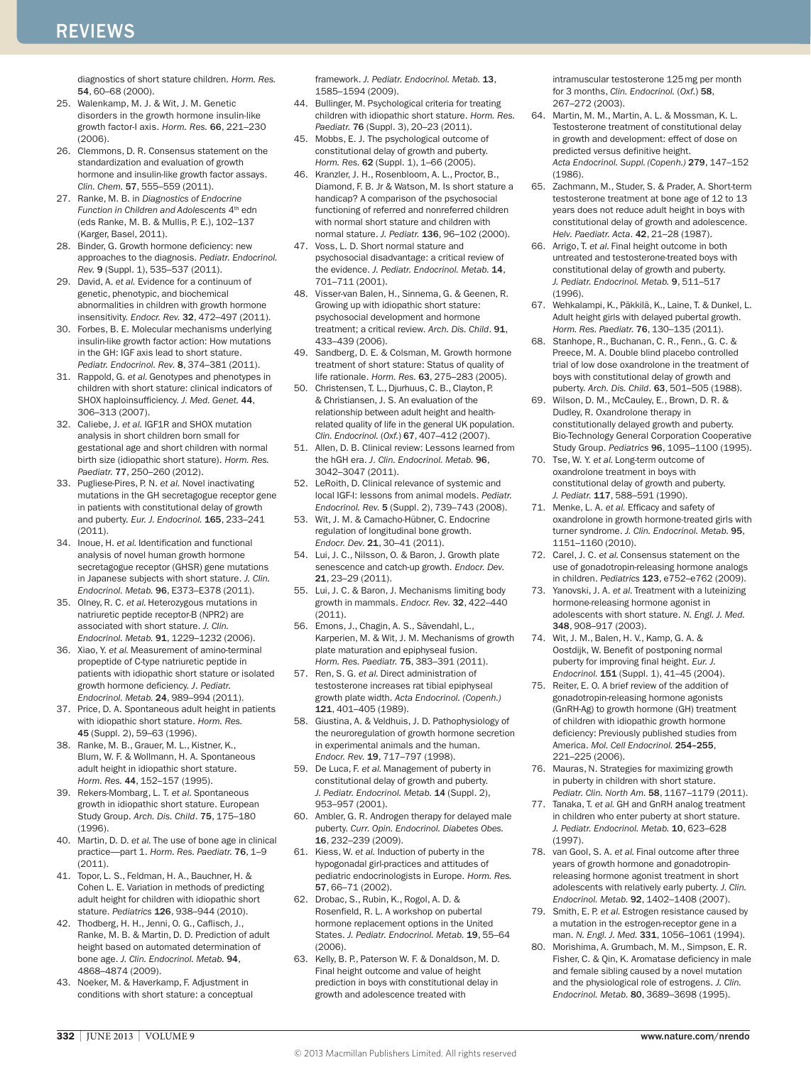diagnostics of short stature children. *Horm. Res.* 54, 60–68 (2000).

- 25. Walenkamp, M. J. & Wit, J. M. Genetic disorders in the growth hormone insulin-like growth factor-I axis. *Horm. Res.* 66, 221–230 (2006).
- 26. Clemmons, D. R. Consensus statement on the standardization and evaluation of growth hormone and insulin-like growth factor assays. *Clin. Chem.* 57, 555–559 (2011).
- 27. Ranke, M. B. in *Diagnostics of Endocrine Function in Children and Adolescents* 4th edn (eds Ranke, M. B. & Mullis, P. E.), 102–137 (Karger, Basel, 2011).
- 28. Binder, G. Growth hormone deficiency: new approaches to the diagnosis. *Pediatr. Endocrinol. Rev.* 9 (Suppl. 1), 535–537 (2011).
- 29. David, A. *et al.* Evidence for a continuum of genetic, phenotypic, and biochemical abnormalities in children with growth hormone insensitivity. *Endocr. Rev.* 32, 472–497 (2011).
- 30. Forbes, B. E. Molecular mechanisms underlying insulin-like growth factor action: How mutations in the GH: IGF axis lead to short stature. *Pediatr. Endocrinol. Rev.* 8, 374–381 (2011).
- 31. Rappold, G. *et al.* Genotypes and phenotypes in children with short stature: clinical indicators of SHOX haploinsufficiency. *J. Med. Genet.* 44, 306–313 (2007).
- 32. Caliebe, J. *et al.* IGF1R and SHOX mutation analysis in short children born small for gestational age and short children with normal birth size (idiopathic short stature). *Horm. Res. Paediatr.* 77, 250–260 (2012).
- 33. Pugliese-Pires, P. N. *et al.* Novel inactivating mutations in the GH secretagogue receptor gene in patients with constitutional delay of growth and puberty. *Eur. J. Endocrinol.* 165, 233–241 (2011).
- 34. Inoue, H. *et al.* Identification and functional analysis of novel human growth hormone secretagogue receptor (GHSR) gene mutations in Japanese subjects with short stature. *J. Clin. Endocrinol. Metab.* 96, E373–E378 (2011).
- 35. Olney, R. C. *et al.* Heterozygous mutations in natriuretic peptide receptor-B (NPR2) are associated with short stature. *J. Clin. Endocrinol. Metab.* 91, 1229–1232 (2006).
- 36. Xiao, Y. *et al.* Measurement of amino-terminal propeptide of C-type natriuretic peptide in patients with idiopathic short stature or isolated growth hormone deficiency. *J*. *Pediatr. Endocrinol. Metab.* 24, 989–994 (2011).
- 37. Price, D. A. Spontaneous adult height in patients with idiopathic short stature. *Horm. Res.* 45 (Suppl. 2), 59–63 (1996).
- 38. Ranke, M. B., Grauer, M. L., Kistner, K., Blum, W. F. & Wollmann, H. A. Spontaneous adult height in idiopathic short stature. *Horm. Res.* 44, 152–157 (1995).
- 39. Rekers-Mombarg, L. T. *et al.* Spontaneous growth in idiopathic short stature. European Study Group. *Arch. Dis. Child*. 75, 175–180 (1996).
- 40. Martin, D. D. *et al.* The use of bone age in clinical practice—part 1. *Horm. Res. Paediatr.* 76, 1–9  $(2011)$
- 41. Topor, L. S., Feldman, H. A., Bauchner, H. & Cohen L. E. Variation in methods of predicting adult height for children with idiopathic short stature. *Pediatrics* 126, 938–944 (2010).
- 42. Thodberg, H. H., Jenni, O. G., Caflisch, J., Ranke, M. B. & Martin, D. D. Prediction of adult height based on automated determination of bone age. *J. Clin. Endocrinol. Metab.* 94, 4868–4874 (2009).
- 43. Noeker, M. & Haverkamp, F. Adjustment in conditions with short stature: a conceptual

framework. *J. Pediatr. Endocrinol. Metab.* 13, 1585–1594 (2009).

- 44. Bullinger, M. Psychological criteria for treating children with idiopathic short stature. *Horm. Res. Paediatr.* 76 (Suppl. 3), 20–23 (2011).
- 45. Mobbs, E. J. The psychological outcome of constitutional delay of growth and puberty. *Horm. Res.* 62 (Suppl. 1), 1-66 (2005).
- 46. Kranzler, J. H., Rosenbloom, A. L., Proctor, B., Diamond, F. B. Jr & Watson, M. Is short stature a handicap? A comparison of the psychosocial functioning of referred and nonreferred children with normal short stature and children with normal stature. *J. Pediatr.* 136, 96–102 (2000).
- 47. Voss, L. D. Short normal stature and psychosocial disadvantage: a critical review of the evidence. *J. Pediatr. Endocrinol. Metab.* 14, 701–711 (2001).
- 48. Visser-van Balen, H., Sinnema, G. & Geenen, R. Growing up with idiopathic short stature: psychosocial development and hormone treatment; a critical review. *Arch. Dis. Child*. 91, 433–439 (2006).
- 49. Sandberg, D. E. & Colsman, M. Growth hormone treatment of short stature: Status of quality of life rationale. *Horm. Res.* 63, 275–283 (2005).
- 50. Christensen, T. L., Djurhuus, C. B., Clayton, P. & Christiansen, J. S. [An evaluation of the](http://www.ncbi.nlm.nih.gov/pubmed/17573903)  [relationship between adult height and health](http://www.ncbi.nlm.nih.gov/pubmed/17573903)[related quality of life in the general UK population.](http://www.ncbi.nlm.nih.gov/pubmed/17573903) *Clin. Endocrinol.* (*Oxf.*) 67, 407–412 (2007).
- 51. Allen, D. B. Clinical review: Lessons learned from the hGH era. *J*. *Clin. Endocrinol. Metab.* 96, 3042–3047 (2011).
- 52. LeRoith, D. Clinical relevance of systemic and local IGF-I: lessons from animal models. *Pediatr. Endocrinol. Rev.* 5 (Suppl. 2), 739–743 (2008).
- 53. Wit, J. M. & Camacho-Hübner, C. Endocrine regulation of longitudinal bone growth. *Endocr. Dev.* 21, 30–41 (2011).
- 54. Lui, J. C., Nilsson, O. & Baron, J. Growth plate senescence and catch-up growth. *Endocr. Dev.* 21, 23–29 (2011).
- 55. Lui, J. C. & Baron, J. Mechanisms limiting body growth in mammals. *Endocr. Rev.* 32, 422–440 (2011).
- 56. Emons, J., Chagin, A. S., Sävendahl, L., Karperien, M. & Wit, J. M. Mechanisms of growth plate maturation and epiphyseal fusion. *Horm. Res. Paediatr.* 75, 383–391 (2011).
- 57. Ren, S. G. *et al.* Direct administration of testosterone increases rat tibial epiphyseal growth plate width. *Acta Endocrinol. (Copenh.)* 121, 401–405 (1989).
- 58. Giustina, A. & Veldhuis, J. D. Pathophysiology of the neuroregulation of growth hormone secretion in experimental animals and the human. *Endocr. Rev.* 19, 717–797 (1998).
- 59. De Luca, F. *et al.* Management of puberty in constitutional delay of growth and puberty. *J. Pediatr. Endocrinol. Metab.* 14 (Suppl. 2), 953–957 (2001).
- 60. Ambler, G. R. [Androgen therapy for delayed male](http://www.ncbi.nlm.nih.gov/pubmed/19396985)  [puberty.](http://www.ncbi.nlm.nih.gov/pubmed/19396985) *Curr. Opin. Endocrinol. Diabetes Obes.* 16, 232–239 (2009).
- 61. Kiess, W. *et al.* Induction of puberty in the hypogonadal girl-practices and attitudes of pediatric endocrinologists in Europe. *Horm. Res.* 57, 66–71 (2002).
- 62. Drobac, S., Rubin, K., Rogol, A. D. & Rosenfield, R. L. A workshop on pubertal hormone replacement options in the United States. *J. Pediatr. Endocrinol. Metab.* 19, 55–64 (2006).
- 63. Kelly, B. P., Paterson W. F. & Donaldson, M. D. Final height outcome and value of height prediction in boys with constitutional delay in growth and adolescence treated with

intramuscular testosterone 125mg per month for 3 months, *Clin. Endocrinol.* (*Oxf.*) 58, 267–272 (2003).

- 64. Martin, M. M., Martin, A. L. & Mossman, K. L. Testosterone treatment of constitutional delay in growth and development: effect of dose on predicted versus definitive height. *Acta Endocrinol. Suppl. (Copenh.)* 279, 147–152 (1986).
- 65. Zachmann, M., Studer, S. & Prader, A. Short-term testosterone treatment at bone age of 12 to 13 years does not reduce adult height in boys with constitutional delay of growth and adolescence. *Helv. Paediatr. Acta*. 42, 21–28 (1987).
- 66. Arrigo, T. *et al.* Final height outcome in both untreated and testosterone-treated boys with constitutional delay of growth and puberty. *J. Pediatr. Endocrinol. Metab.* 9, 511–517 (1996).
- 67. Wehkalampi, K., Päkkilä, K., Laine, T. & Dunkel, L. Adult height girls with delayed pubertal growth. *Horm. Res. Paediatr.* 76, 130–135 (2011).
- 68. Stanhope, R., Buchanan, C. R., Fenn*.*, G. C. & Preece, M. A. Double blind placebo controlled trial of low dose oxandrolone in the treatment of boys with constitutional delay of growth and puberty. *Arch. Dis. Child*. 63, 501–505 (1988).
- 69. Wilson, D. M., McCauley, E., Brown, D. R. & Dudley, R. Oxandrolone therapy in constitutionally delayed growth and puberty. Bio-Technology General Corporation Cooperative Study Group. *Pediatrics* 96, 1095–1100 (1995).
- 70. Tse, W. Y. *et al.* Long-term outcome of oxandrolone treatment in boys with constitutional delay of growth and puberty. *J. Pediatr.* 117, 588–591 (1990).
- 71. Menke, L. A. *et al.* Efficacy and safety of oxandrolone in growth hormone-treated girls with turner syndrome. *J. Clin. Endocrinol. Metab.* 95, 1151–1160 (2010).
- 72. Carel, J. C. *et al.* Consensus statement on the use of gonadotropin-releasing hormone analogs in children. *Pediatrics* 123, e752–e762 (2009).
- 73. Yanovski, J. A. *et al.* Treatment with a luteinizing hormone-releasing hormone agonist in adolescents with short stature. *N. Engl. J. Med.* 348, 908–917 (2003).
- 74. Wit, J. M., Balen, H. V., Kamp, G. A. & Oostdijk, W. Benefit of postponing normal puberty for improving final height. *Eur. J. Endocrinol.* 151 (Suppl. 1), 41–45 (2004).
- 75. Reiter, E. O. A brief review of the addition of gonadotropin-releasing hormone agonists (GnRH-Ag) to growth hormone (GH) treatment of children with idiopathic growth hormone deficiency: Previously published studies from America. *Mol. Cell Endocrinol.* 254–255, 221–225 (2006).
- 76. Mauras, N. Strategies for maximizing growth in puberty in children with short stature. *Pediatr. Clin. North Am.* 58, 1167–1179 (2011).
- 77. Tanaka, T. *et al.* GH and GnRH analog treatment in children who enter puberty at short stature. *J. Pediatr. Endocrinol. Metab.* 10, 623–628 (1997).
- 78. van Gool, S. A. *et al.* Final outcome after three years of growth hormone and gonadotropinreleasing hormone agonist treatment in short adolescents with relatively early puberty. *J. Clin. Endocrinol. Metab.* 92, 1402–1408 (2007).
- 79. Smith, E. P. *et al.* Estrogen resistance caused by a mutation in the estrogen-receptor gene in a man. *N. Engl. J. Med.* 331, 1056–1061 (1994).
- 80. Morishima, A. Grumbach, M. M., Simpson, E. R. Fisher, C. & Qin, K. Aromatase deficiency in male and female sibling caused by a novel mutation and the physiological role of estrogens. *J. Clin. Endocrinol. Metab.* 80, 3689–3698 (1995).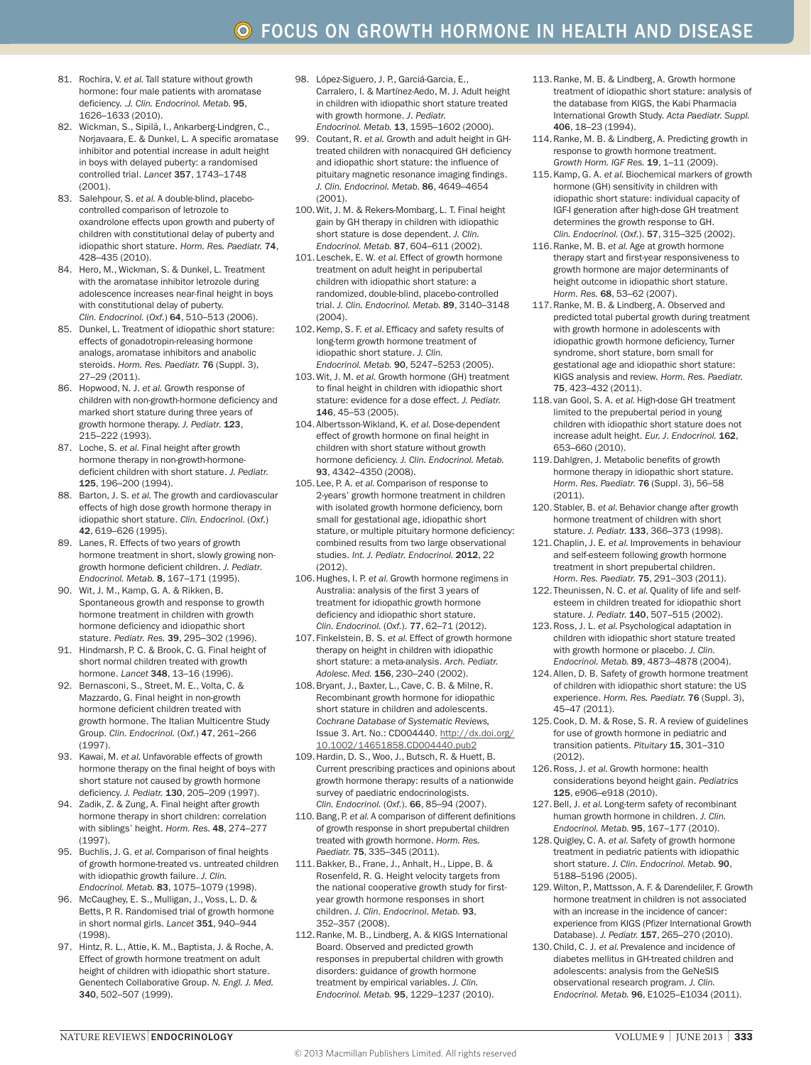- 81. Rochira, V. *et al.* Tall stature without growth hormone: four male patients with aromatase deficiency. .*J. Clin. Endocrinol. Metab.* 95, 1626–1633 (2010).
- 82. Wickman, S., Sipilä, I., Ankarberg-Lindgren, C., Norjavaara, E. & Dunkel, L. A specific aromatase inhibitor and potential increase in adult height in boys with delayed puberty: a randomised controlled trial. *Lancet* 357, 1743–1748 (2001).
- 83. Salehpour, S. *et al.* A double-blind, placebocontrolled comparison of letrozole to oxandrolone effects upon growth and puberty of children with constitutional delay of puberty and idiopathic short stature. *Horm. Res. Paediatr.* 74, 428–435 (2010).
- 84. Hero, M., Wickman, S. & Dunkel, L. Treatment with the aromatase inhibitor letrozole during adolescence increases near-final height in boys with constitutional delay of puberty. *Clin. Endocrinol.* (*Oxf.*) 64, 510–513 (2006).
- 85. Dunkel, L. Treatment of idiopathic short stature: effects of gonadotropin-releasing hormone analogs, aromatase inhibitors and anabolic steroids. *Horm. Res. Paediatr.* 76 (Suppl. 3), 27–29 (2011).
- 86. Hopwood, N. J. *et al.* Growth response of children with non-growth-hormone deficiency and marked short stature during three years of growth hormone therapy. *J. Pediatr.* 123, 215–222 (1993).
- 87. Loche, S. *et al.* Final height after growth hormone therapy in non-growth-hormonedeficient children with short stature. *J. Pediatr.* 125, 196–200 (1994).
- 88. Barton, J. S. *et al.* The growth and cardiovascular effects of high dose growth hormone therapy in idiopathic short stature. *Clin. Endocrinol.* (*Oxf.*) 42, 619–626 (1995).
- 89. Lanes, R. Effects of two years of growth hormone treatment in short, slowly growing nongrowth hormone deficient children. *J. Pediatr. Endocrinol. Metab.* 8, 167–171 (1995).
- 90. Wit, J. M., Kamp, G. A. & Rikken, B. Spontaneous growth and response to growth hormone treatment in children with growth hormone deficiency and idiopathic short stature. *Pediatr. Res.* 39, 295–302 (1996).
- 91. Hindmarsh, P. C. & Brook, C. G. Final height of short normal children treated with growth hormone. *Lancet* 348, 13–16 (1996).
- 92. Bernasconi, S., Street, M. E., Volta, C. & Mazzardo, G. Final height in non-growth hormone deficient children treated with growth hormone. The Italian Multicentre Study Group. *Clin. Endocrinol.* (*Oxf.*) 47, 261–266 (1997).
- 93. Kawai, M. *et al.* Unfavorable effects of growth hormone therapy on the final height of boys with short stature not caused by growth hormone deficiency. *J. Pediatr.* 130, 205–209 (1997).
- 94. Zadik, Z. & Zung, A. Final height after growth hormone therapy in short children: correlation with siblings' height. *Horm. Res.* 48, 274–277 (1997).
- 95. Buchlis, J. G. *et al.* Comparison of final heights of growth hormone-treated vs. untreated children with idiopathic growth failure. *J. Clin. Endocrinol. Metab.* 83, 1075–1079 (1998).
- 96. McCaughey, E. S., Mulligan, J., Voss, L. D. & Betts, P. R. Randomised trial of growth hormone in short normal girls. *Lancet* 351, 940–944 (1998).
- 97. Hintz, R. L., Attie, K. M., Baptista, J. & Roche, A. Effect of growth hormone treatment on adult height of children with idiopathic short stature. Genentech Collaborative Group. *N. Engl. J. Med.* 340, 502–507 (1999).
- 98. López-Siguero, J. P., Garciá-Garcia, E., Carralero, I. & Martínez-Aedo, M. J. Adult height in children with idiopathic short stature treated with growth hormone. *J*. *Pediatr. Endocrinol. Metab.* 13, 1595–1602 (2000).
- 99. Coutant, R. *et al.* Growth and adult height in GHtreated children with nonacquired GH deficiency and idiopathic short stature: the influence of pituitary magnetic resonance imaging findings. *J. Clin. Endocrinol. Metab.* 86, 4649–4654 (2001).
- 100.Wit, J. M. & Rekers-Mombarg, L. T. Final height gain by GH therapy in children with idiopathic short stature is dose dependent. *J. Clin. Endocrinol. Metab.* 87, 604–611 (2002).
- 101. Leschek, E. W. *et al.* Effect of growth hormone treatment on adult height in peripubertal children with idiopathic short stature: a randomized, double-blind, placebo-controlled trial. *J. Clin. Endocrinol. Metab.* 89, 3140–3148 (2004).
- 102.Kemp, S. F. *et al.* Efficacy and safety results of long-term growth hormone treatment of idiopathic short stature. *J. Clin. Endocrinol. Metab.* 90, 5247–5253 (2005).
- 103.Wit, J. M. *et al.* Growth hormone (GH) treatment to final height in children with idiopathic short stature: evidence for a dose effect. *J. Pediatr.* 146, 45–53 (2005).
- 104.Albertsson-Wikland, K. *et al.* Dose-dependent effect of growth hormone on final height in children with short stature without growth hormone deficiency. *J. Clin. Endocrinol. Metab.* 93, 4342–4350 (2008).
- 105. Lee, P. A. *et al.* Comparison of response to 2-years' growth hormone treatment in children with isolated growth hormone deficiency, born small for gestational age, idiopathic short stature, or multiple pituitary hormone deficiency: combined results from two large observational studies. *Int. J. Pediatr. Endocrinol.* 2012, 22 (2012).
- 106.Hughes, I. P. *et al.* Growth hormone regimens in Australia: analysis of the first 3 years of treatment for idiopathic growth hormone deficiency and idiopathic short stature. *Clin. Endocrinol.* (*Oxf.*). 77, 62–71 (2012).
- 107. Finkelstein, B. S. *et al.* Effect of growth hormone therapy on height in children with idiopathic short stature: a meta-analysis. *Arch. Pediatr. Adolesc. Med.* 156, 230–240 (2002).
- 108.Bryant, J., Baxter, L., Cave, C. B. & Milne, R. Recombinant growth hormone for idiopathic short stature in children and adolescents. *Cochrane Database of Systematic Reviews,*  Issue 3. Art. No.: CD004440. [http://dx.doi.org/](http://dx.doi.org/10.1002/14651858.CD004440.pub2) [10.1002/14651858.CD004440.pub2](http://dx.doi.org/10.1002/14651858.CD004440.pub2)
- 109.Hardin, D. S., Woo, J., Butsch, R. & Huett, B. Current prescribing practices and opinions about growth hormone therapy: results of a nationwide survey of paediatric endocrinologists. *Clin. Endocrinol.* (*Oxf.*). 66, 85–94 (2007).
- 110. Bang, P. *et al.* A comparison of different definitions of growth response in short prepubertal children treated with growth hormone. *Horm. Res. Paediatr.* 75, 335–345 (2011).
- 111.Bakker, B., Frane, J., Anhalt, H., Lippe, B. & Rosenfeld, R. G. Height velocity targets from the national cooperative growth study for firstyear growth hormone responses in short children. *J. Clin. Endocrinol. Metab.* 93, 352–357 (2008).
- 112.Ranke, M. B., Lindberg, A. & KIGS International Board. Observed and predicted growth responses in prepubertal children with growth disorders: guidance of growth hormone treatment by empirical variables. *J. Clin. Endocrinol. Metab.* 95, 1229–1237 (2010).
- 113.Ranke, M. B. & Lindberg, A. Growth hormone treatment of idiopathic short stature: analysis of the database from KIGS, the Kabi Pharmacia International Growth Study. *Acta Paediatr. Suppl.* 406, 18–23 (1994).
- 114.Ranke, M. B. & Lindberg, A. Predicting growth in response to growth hormone treatment. *Growth Horm. IGF Res.* 19, 1–11 (2009).
- 115.Kamp, G. A. *et al.* Biochemical markers of growth hormone (GH) sensitivity in children with idiopathic short stature: individual capacity of IGF-I generation after high-dose GH treatment determines the growth response to GH. *Clin. Endocrinol.* (*Oxf.*). 57, 315–325 (2002).
- 116.Ranke, M. B. *et al.* Age at growth hormone therapy start and first-year responsiveness to growth hormone are major determinants of height outcome in idiopathic short stature. *Horm. Res.* 68, 53–62 (2007).
- 117.Ranke, M. B. & Lindberg, A. Observed and predicted total pubertal growth during treatment with growth hormone in adolescents with idiopathic growth hormone deficiency, Turner syndrome, short stature, born small for gestational age and idiopathic short stature: KIGS analysis and review. *Horm. Res. Paediatr.* 75, 423–432 (2011).
- 118. van Gool, S. A. *et al.* High-dose GH treatment limited to the prepubertal period in young children with idiopathic short stature does not increase adult height. *Eur. J*. *Endocrinol.* 162, 653–660 (2010).
- 119.Dahlgren, J. Metabolic benefits of growth hormone therapy in idiopathic short stature. *Horm. Res. Paediatr.* 76 (Suppl. 3), 56–58 (2011).
- 120.Stabler, B. *et al.* Behavior change after growth hormone treatment of children with short stature. *J. Pediatr.* 133, 366–373 (1998).
- 121.Chaplin, J. E. *et al.* Improvements in behaviour and self-esteem following growth hormone treatment in short prepubertal children. *Horm. Res. Paediatr.* 75, 291–303 (2011).
- 122. Theunissen, N. C. *et al.* Quality of life and selfesteem in children treated for idiopathic short stature. *J. [Pediatr.](http://www.ncbi.nlm.nih.gov/pubmed?term=Theunissen ISS##)* 140, 507–515 (2002).
- 123.Ross, J. L. *et al.* Psychological adaptation in children with idiopathic short stature treated with growth hormone or placebo. *J. Clin. Endocrinol. Metab.* 89, 4873–4878 (2004).
- 124.Allen, D. B. Safety of growth hormone treatment of children with idiopathic short stature: the US experience. *Horm. Res. Paediatr.* 76 (Suppl. 3), 45–47 (2011).
- 125.Cook, D. M. & Rose, S. R. A review of guidelines for use of growth hormone in pediatric and transition patients. *Pituitary* 15, 301–310  $(2012)$
- 126.Ross, J. *et al.* Growth hormone: health considerations beyond height gain. *Pediatrics* 125, e906–e918 (2010).
- 127.Bell, J. *et al.* Long-term safety of recombinant human growth hormone in children. *J. Clin. Endocrinol. Metab.* 95, 167–177 (2010).
- 128.Quigley, C. A. *et al.* Safety of growth hormone treatment in pediatric patients with idiopathic short stature. *J. Clin. Endocrinol. Metab.* 90, 5188–5196 (2005).
- 129. Wilton, P., Mattsson, A. F. & Darendeliler, F. Growth hormone treatment in children is not associated with an increase in the incidence of cancer: experience from KIGS (Pfizer International Growth Database). *J. Pediatr.* 157, 265–270 (2010).
- 130.Child, C. J. *et al.* Prevalence and incidence of diabetes mellitus in GH-treated children and adolescents: analysis from the GeNeSIS observational research program. *J. Clin. Endocrinol. Metab.* 96, E1025–E1034 (2011).